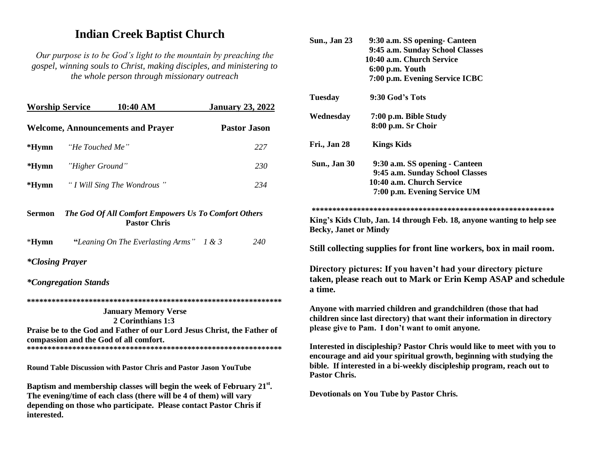## **Indian Creek Baptist Church**

Our purpose is to be God's light to the mountain by preaching the gospel, winning souls to Christ, making disciples, and ministering to the whole person through missionary outreach

| <b>Worship Service</b>        | 10:40 AM                                                                    | <b>January 23, 2022</b> |
|-------------------------------|-----------------------------------------------------------------------------|-------------------------|
|                               | <b>Welcome, Announcements and Prayer</b>                                    | <b>Pastor Jason</b>     |
| *Hymn                         | "He Touched Me"                                                             | 227                     |
| <i>*</i> Hymn "Higher Ground" |                                                                             | 230                     |
|                               | * <b>Hymn</b> "I Will Sing The Wondrous"                                    | 234                     |
| Sermon                        | The God Of All Comfort Empowers Us To Comfort Others<br><b>Pastor Chris</b> |                         |
| $*Hymn$                       | "Leaning On The Everlasting Arms" $1 \& 3$                                  | 240                     |
| <i>*Closing Prayer</i>        |                                                                             |                         |
| <i>*Congregation Stands</i>   |                                                                             |                         |
|                               |                                                                             |                         |

**January Memory Verse** 2 Corinthians 1:3 Praise be to the God and Father of our Lord Jesus Christ, the Father of compassion and the God of all comfort. 

**Round Table Discussion with Pastor Chris and Pastor Jason YouTube** 

Baptism and membership classes will begin the week of February 21<sup>st</sup>. The evening/time of each class (there will be 4 of them) will vary depending on those who participate. Please contact Pastor Chris if interested.

| <b>Sun., Jan 23</b>          | 9:30 a.m. SS opening - Canteen                                                                                                                                                                                            |
|------------------------------|---------------------------------------------------------------------------------------------------------------------------------------------------------------------------------------------------------------------------|
|                              | 9:45 a.m. Sunday School Classes                                                                                                                                                                                           |
|                              | 10:40 a.m. Church Service                                                                                                                                                                                                 |
|                              | 6:00 p.m. Youth                                                                                                                                                                                                           |
|                              | 7:00 p.m. Evening Service ICBC                                                                                                                                                                                            |
| <b>Tuesday</b>               | 9:30 God's Tots                                                                                                                                                                                                           |
| Wednesday                    | 7:00 p.m. Bible Study                                                                                                                                                                                                     |
|                              | 8:00 p.m. Sr Choir                                                                                                                                                                                                        |
| Fri., Jan 28                 | <b>Kings Kids</b>                                                                                                                                                                                                         |
| <b>Sun., Jan 30</b>          | 9:30 a.m. SS opening - Canteen                                                                                                                                                                                            |
|                              | 9:45 a.m. Sunday School Classes                                                                                                                                                                                           |
|                              | 10:40 a.m. Church Service                                                                                                                                                                                                 |
|                              | 7:00 p.m. Evening Service UM                                                                                                                                                                                              |
|                              |                                                                                                                                                                                                                           |
|                              |                                                                                                                                                                                                                           |
| <b>Becky, Janet or Mindy</b> | King's Kids Club, Jan. 14 through Feb. 18, anyone wanting to help see                                                                                                                                                     |
|                              | Still collecting supplies for front line workers, box in mail room.                                                                                                                                                       |
| a time.                      | Directory pictures: If you haven't had your directory picture<br>taken, please reach out to Mark or Erin Kemp ASAP and schedule                                                                                           |
|                              | Anyone with married children and grandchildren (those that had<br>children since last directory) that want their information in directory<br>please give to Pam. I don't want to omit anyone.                             |
|                              |                                                                                                                                                                                                                           |
| <b>Pastor Chris.</b>         | Interested in discipleship? Pastor Chris would like to meet with you to<br>encourage and aid your spiritual growth, beginning with studying the<br>bible. If interested in a bi-weekly discipleship program, reach out to |